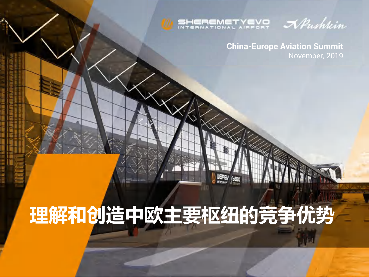

WEPEN (NEO

NPushkin

**China-Europe Aviation Summit** November, 2019

# **理解和创造中欧主要枢纽的竞争优势**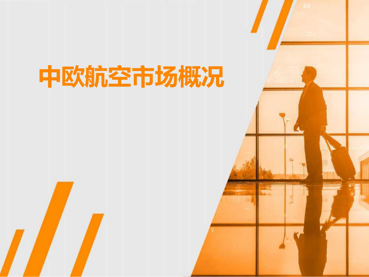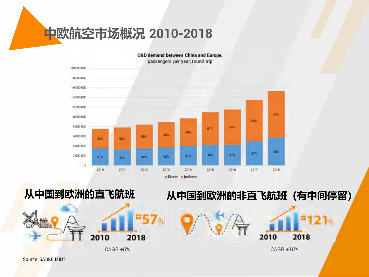**中欧航空市场概况 2010-2018**











2010

CAGR **+6%** CAGR **+10%**

 $-121$ 

2018

*Source: SABRE MIDT*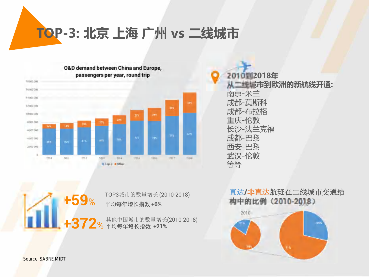**TOP-3: 北京 上海 广州 vs 二线城市**



**2010到2018年 从二线城市到欧洲的新航线开通:** 南京-米兰 成都-莫斯科 成都-布拉格 重庆-伦敦 长沙-法兰克福 成都-巴黎 西安-巴黎 武汉-伦敦 等等

其他中国城市的数量增长(2010-2018)  $+372$ % 平均每年增长指数 +21% **+59**% TOP3城市的数量增长 (2010-2018) 平均每年增长指数 **+6%**

#### 直达**/**非直达航班在二线城市交通结 构中的比例(**2010-2018**)



*Source: SABRE MIDT*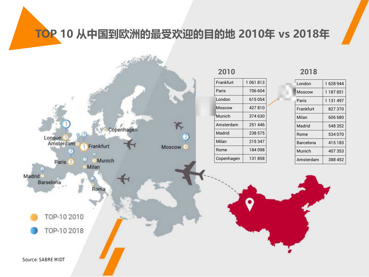**TOP 10 从中国到欧洲的最受欢迎的目的地 2010年 vs 2018年**



| Frankfurt  | 1 061 813 |
|------------|-----------|
| Paris      | 706 604   |
| London     | 615054    |
| Moscow     | 427810    |
| Munich     | 374 630   |
| Amsterdam  | 251 446   |
| Madrid     | 238 575   |
| Milan      | 215347    |
| Rome       | 184098    |
| Copenhagen | 131858    |
|            |           |

|  | London    | 1628944   |
|--|-----------|-----------|
|  | Moscow    | 1 187 851 |
|  | Paris     | 1 131 497 |
|  | Frankfurt | 827370    |
|  | Milan     | 606 680   |
|  | Madrid    | 548 352   |
|  | Rome      | 534 070   |
|  | Barcelona | 415183    |
|  | Munich    | 407353    |
|  | Amsterdam | 388 452   |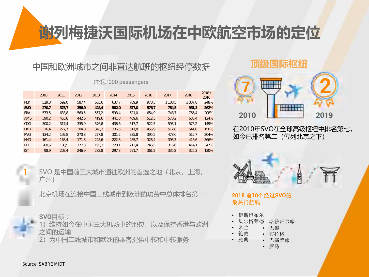### **谢列梅捷沃国际机场在中欧航空市场的定位**

#### 中国和欧洲城市之间非直达航班的枢纽经停数据

|            | 2010  | 2011  | 2012  | 2013  | 2014  | 2015  | 2016  | 2017    | 2018        | 2018/<br>2010 |
|------------|-------|-------|-------|-------|-------|-------|-------|---------|-------------|---------------|
| <b>PEK</b> | 529.3 | 592.0 | 587.4 | 603.6 | 637.7 | 789.9 | 978.3 | 1 108,5 | 1 3 3 7 , 8 | 248%          |
| <b>SVO</b> | 270.7 | 375.7 | 356.9 | 428.4 | 502,0 | 577.0 | 576.7 | 784.5   | 951.3       | 362%          |
| <b>FRA</b> | 573.5 | 633.8 | 560.5 | 557.2 | 593.4 | 621.0 | 654.9 | 748.7   | 766.4       | 208%          |
| <b>AMS</b> | 390.2 | 455,8 | 442.6 | 419.6 | 441.8 | 469.6 | 512.3 | 570.2   | 633.4       | 124%          |
| <b>CDG</b> | 300.2 | 317.4 | 335.9 | 376.8 | 438.6 | 517.7 | 522,5 | 593.1   | 576.2       | 149%          |
| <b>DXB</b> | 316.4 | 277.7 | 304.8 | 345.3 | 336.5 | 511.8 | 455.9 | 512.8   | 541.6       | 150%          |
| <b>PVG</b> | 134.2 | 192.8 | 270.8 | 277.8 | 301.2 | 335.8 | 395.5 | 478.6   | 512.7       | 204%          |
| <b>HKG</b> | 161.4 | 168.4 | 171.8 | 228.6 | 222.8 | 285.7 | 328.4 | 393.3   | 416.6       | 366%          |
| <b>HEL</b> | 200.6 | 180.5 | 177.3 | 195.3 | 228.1 | 212.4 | 246.5 | 316.6   | 414.1       | 347%          |
| <b>IST</b> | 98.9  | 202,4 | 246.9 | 282,8 | 297,3 | 291.7 | 361,2 | 335,2   | 325,3       | 130%          |

往返, '000 passengers

SVO 是中国前三大城市通往欧洲的首选之地(北京,上海, 广州)

北京机场在连接中国二线城市到欧洲的功劳中总体排名第一

#### **SVO**目标 :

1)维持如今在中国三大机场中的地位,以及保持香港与欧洲 之间的运输

2)为中国二线城市和欧洲的乘客提供中转和中转服务

#### **顶级国际枢纽**



在2010年SVO在全球高级枢纽中排名第七, 如今已排名第二(位列北京之下)



#### **2018** 前**10**个经过**SVO**的 最热门航线

- 伊斯坦布尔
- 贝尔格莱德 • 斯德哥尔摩
	- 米兰 • 巴黎
	- 伦敦 • 布拉格
- 雅典 • 巴塞罗那
	- 罗马

1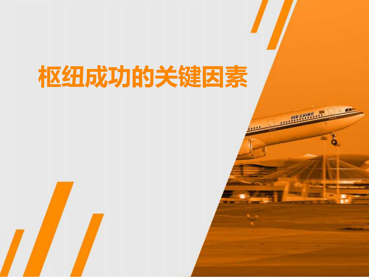# **枢纽成功的关键因素**

HIR CHINA.

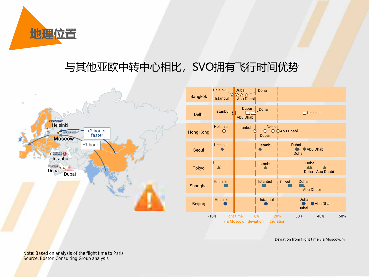

### 与其他亚欧中转中心相比, SVO拥有飞行时间优势



| <b>Bangkok</b>                                                                                          | <b>Helsinki</b><br><b>Istanbul</b> | <b>Dubai</b><br>$\Delta \Delta \Delta$<br>Abu Dhabi | Doha                                           |                                   |                  |  |
|---------------------------------------------------------------------------------------------------------|------------------------------------|-----------------------------------------------------|------------------------------------------------|-----------------------------------|------------------|--|
| Delhi                                                                                                   | Istanbul <sub>T</sub>              | Dubai<br>Abu Dhabi                                  | Doha                                           | $\Box$ Helsinki                   |                  |  |
| <b>Hong Kong</b>                                                                                        | <b>Helsinki</b><br>∩               | <b>Istanbul</b>                                     | Doha<br>$\overline{O}$ $\overline{O}$<br>Dubai | <b>OAbu Dhabi</b>                 |                  |  |
| Seoul                                                                                                   | <b>Helsinki</b>                    |                                                     | Istanbul                                       | <b>Dubai</b><br>Doha              | Abu Dhabi        |  |
| <b>Tokyo</b>                                                                                            | <b>Helsinki</b>                    |                                                     | <b>Istanbul</b>                                | Dubai<br>Doha                     | Abu Dhabi        |  |
| Shanghai                                                                                                | <b>Helsinki</b>                    |                                                     | Istanbul                                       | Doha<br><b>Dubai</b><br>Abu Dhabi |                  |  |
| <b>Beijing</b>                                                                                          | <b>Helsinki</b>                    |                                                     | Istanbul                                       | Doha<br><b>Dubai</b>              | <b>Abu Dhabi</b> |  |
| <b>Flight time</b><br>10%<br>40%<br>50%<br>$-10%$<br>20%<br>30%<br>via Moscow<br>deviation<br>deviation |                                    |                                                     |                                                |                                   |                  |  |

Deviation from flight time via Moscow, %

*Note: Based on analysis of the flight time to Paris Source: Boston Consulting Group analysis*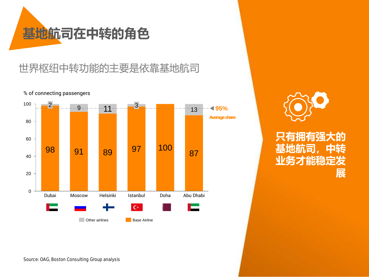

#### 世界枢纽中转功能的主要是依靠基地航司



% of connecting passengers

**只有拥有强大的** 县地航司 **业务才能稳定发 展**

*Source: OAG, Boston Consulting Group analysis*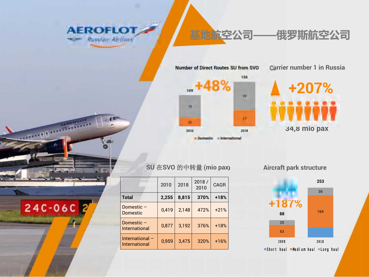

三百秒

 $-10$ 

24C-06C 2

### **基地航空公司——俄罗斯航空公司**

Number of Direct Routes SU from SVO



**Carrier number 1 in Russia** 



#### **SU** 在**SVO** 的中转量 **(mio pax)**

|                                           | 2010  | 2018  | 2018/<br>2010 | <b>CAGR</b> |
|-------------------------------------------|-------|-------|---------------|-------------|
| <b>Total</b>                              | 2,255 | 8,815 | 370%          | $+18%$      |
| Domestic -<br><b>Domestic</b>             | 0,419 | 2,148 | 472%          | $+21%$      |
| Domestic $-$<br>International             | 0,877 | 3,192 | 376%          | $+18%$      |
| International $-$<br><b>International</b> | 0,959 | 3,475 | 320%          | $+16%$      |

**Aircraft park structure**

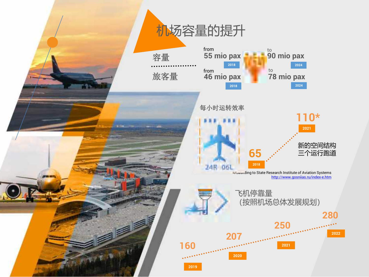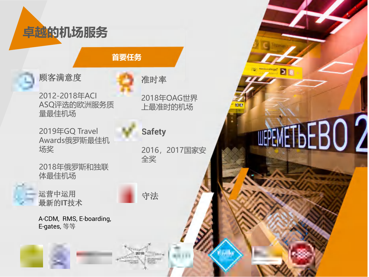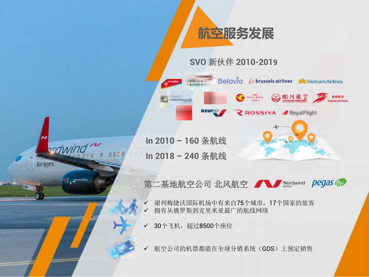

**SVO** 新伙伴 **2010-2019**

Belavia & brussels airlines McVietnam Airlines

**SALL SOUNDER** 

**ROSSIVA** *A* **ReyalFlight** 

**In 2010 – 160** 条航线 **In 2018 – 240** 条航线

ordwina

Airlines

**BOW** 

azurair

第二基地航空公司 北风航空 A Mordwind pegas The

✓ 谢列梅捷沃国际机场中有来自75个城市,17个国家的旅客 ✓ 拥有从俄罗斯到克里米亚最广的航线网络

← 30个飞机,超过8500个座位

航空公司的机票都能在全球分销系统(GDS)上预定销售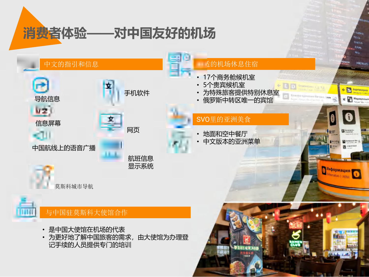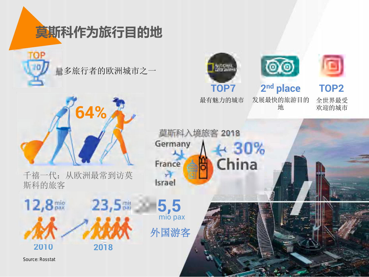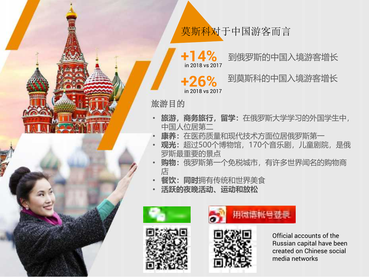

**+14%** in 2018 vs 2017

到俄罗斯的中国入境游客增长

**+26%** in 2018 vs 2017 到莫斯科的中国入境游客增长

旅游目的

- **旅游,商务旅行,留学:**在俄罗斯大学学习的外国学生中, 中国人位居第二
- **康养:**在医药质量和现代技术方面位居俄罗斯第一
- 观光:超过500个博物馆, 170个音乐剧, 儿童剧院, 是俄 罗斯最重要的景点
- **购物:**俄罗斯第一个免税城市,有许多世界闻名的购物商 店
- **餐饮:同时**拥有传统和世界美食
- **活跃的夜晚活动、运动和放松**









Official accounts of the Russian capital have been created on Chinese social media networks